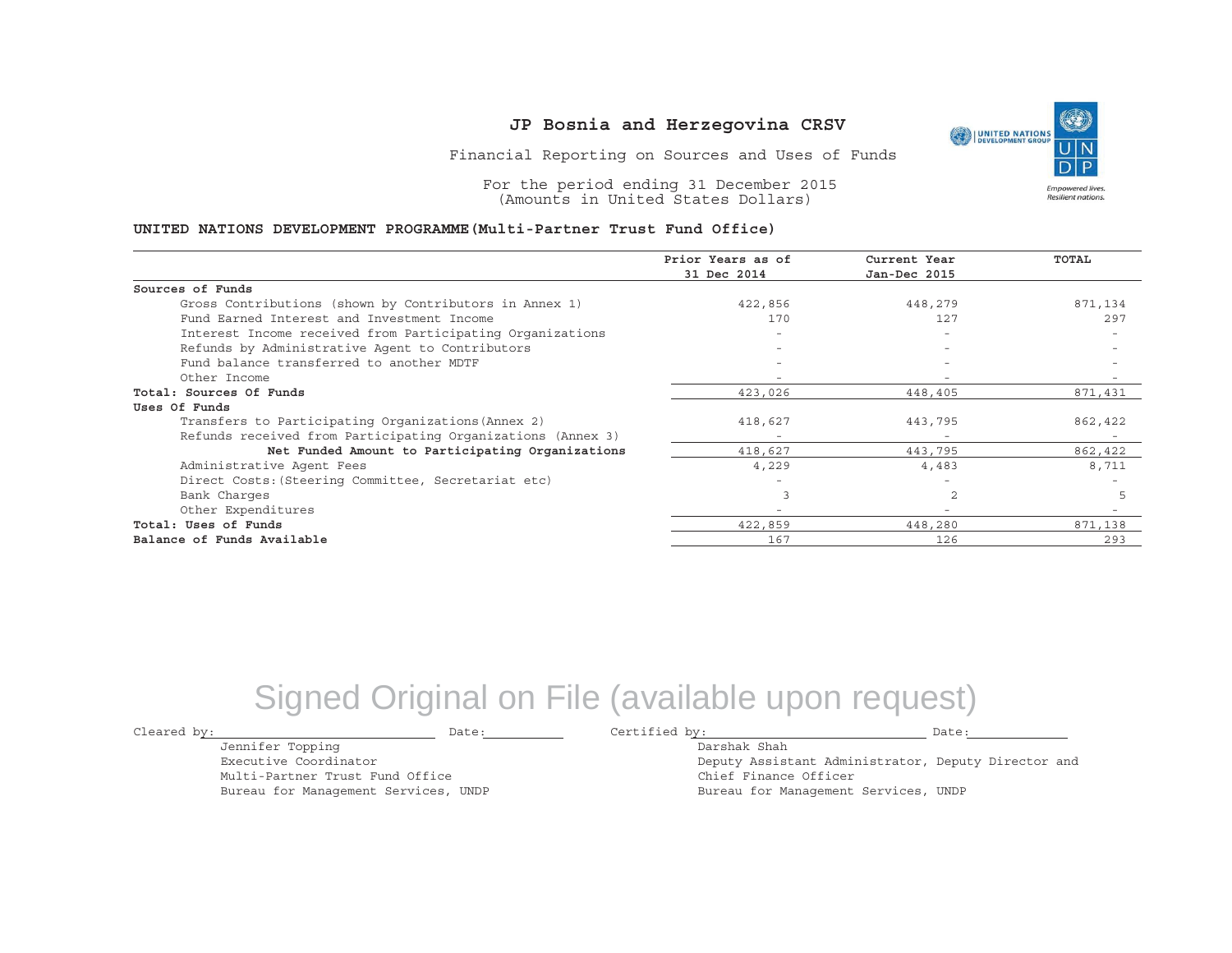Financial Reporting on Sources and Uses of Funds

For the period ending 31 December 2015 (Amounts in United States Dollars)

#### **UNITED NATIONS DEVELOPMENT PROGRAMME(Multi-Partner Trust Fund Office)**

|                                                             | Prior Years as of        | Current Year             | TOTAL   |
|-------------------------------------------------------------|--------------------------|--------------------------|---------|
|                                                             | 31 Dec 2014              | Jan-Dec 2015             |         |
| Sources of Funds                                            |                          |                          |         |
| Gross Contributions (shown by Contributors in Annex 1)      | 422,856                  | 448,279                  | 871,134 |
| Fund Earned Interest and Investment Income                  | 170                      | 127                      | 297     |
| Interest Income received from Participating Organizations   |                          |                          |         |
| Refunds by Administrative Agent to Contributors             | $-$                      |                          |         |
| Fund balance transferred to another MDTF                    |                          |                          |         |
| Other Income                                                |                          |                          |         |
| Total: Sources Of Funds                                     | 423,026                  | 448,405                  | 871,431 |
| Uses Of Funds                                               |                          |                          |         |
| Transfers to Participating Organizations (Annex 2)          | 418,627                  | 443,795                  | 862,422 |
| Refunds received from Participating Organizations (Annex 3) | $\overline{\phantom{a}}$ | $\overline{\phantom{a}}$ |         |
| Net Funded Amount to Participating Organizations            | 418,627                  | 443,795                  | 862,422 |
| Administrative Agent Fees                                   | 4,229                    | 4,483                    | 8,711   |
| Direct Costs: (Steering Committee, Secretariat etc)         |                          |                          |         |
| Bank Charges                                                |                          |                          |         |
| Other Expenditures                                          |                          |                          |         |
| Total: Uses of Funds                                        | 422,859                  | 448,280                  | 871,138 |
| Balance of Funds Available                                  | 167                      | 126                      | 293     |

## Signed Original on File (available upon request)

Jennifer Topping Executive CoordinatorMulti-Partner Trust Fund Office Bureau for Management Services, UNDP

Cleared by: Date: Certified by: Date:

Darshak ShahDeputy Assistant Administrator, Deputy Director and Chief Finance Officer

Bureau for Management Services, UNDP

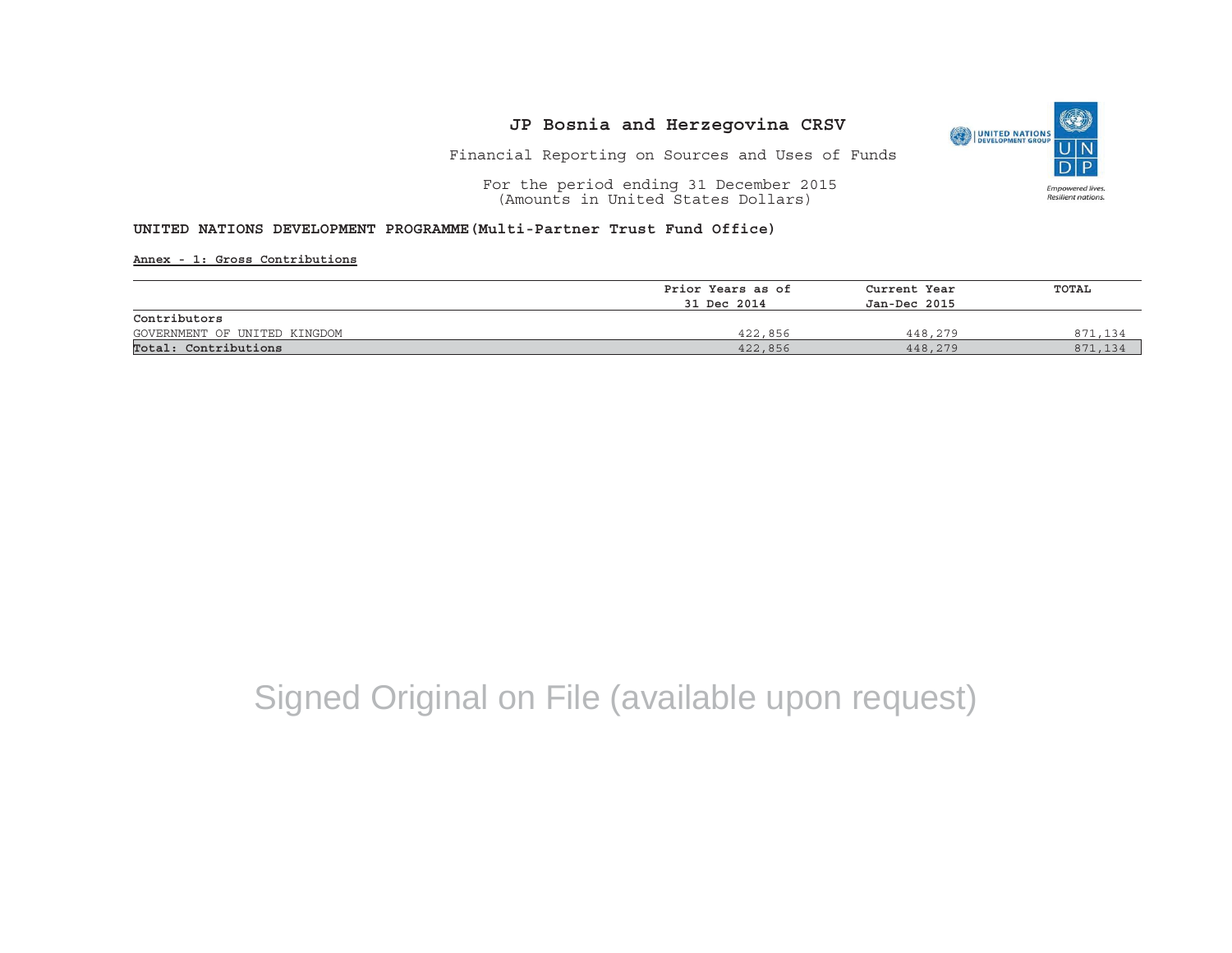

Financial Reporting on Sources and Uses of Funds

For the period ending 31 December 2015 (Amounts in United States Dollars)

### **UNITED NATIONS DEVELOPMENT PROGRAMME(Multi-Partner Trust Fund Office)**

**Annex - 1: Gross Contributions**

|                              | Prior Years as of | Current Year | TOTAL   |
|------------------------------|-------------------|--------------|---------|
|                              | 31 Dec 2014       | Jan-Dec 2015 |         |
| Contributors                 |                   |              |         |
| GOVERNMENT OF UNITED KINGDOM | 422,856           | 448,279      | 871,134 |
| Total: Contributions         | 422,856           | 448,279      | 871     |

# Signed Original on File (available upon request)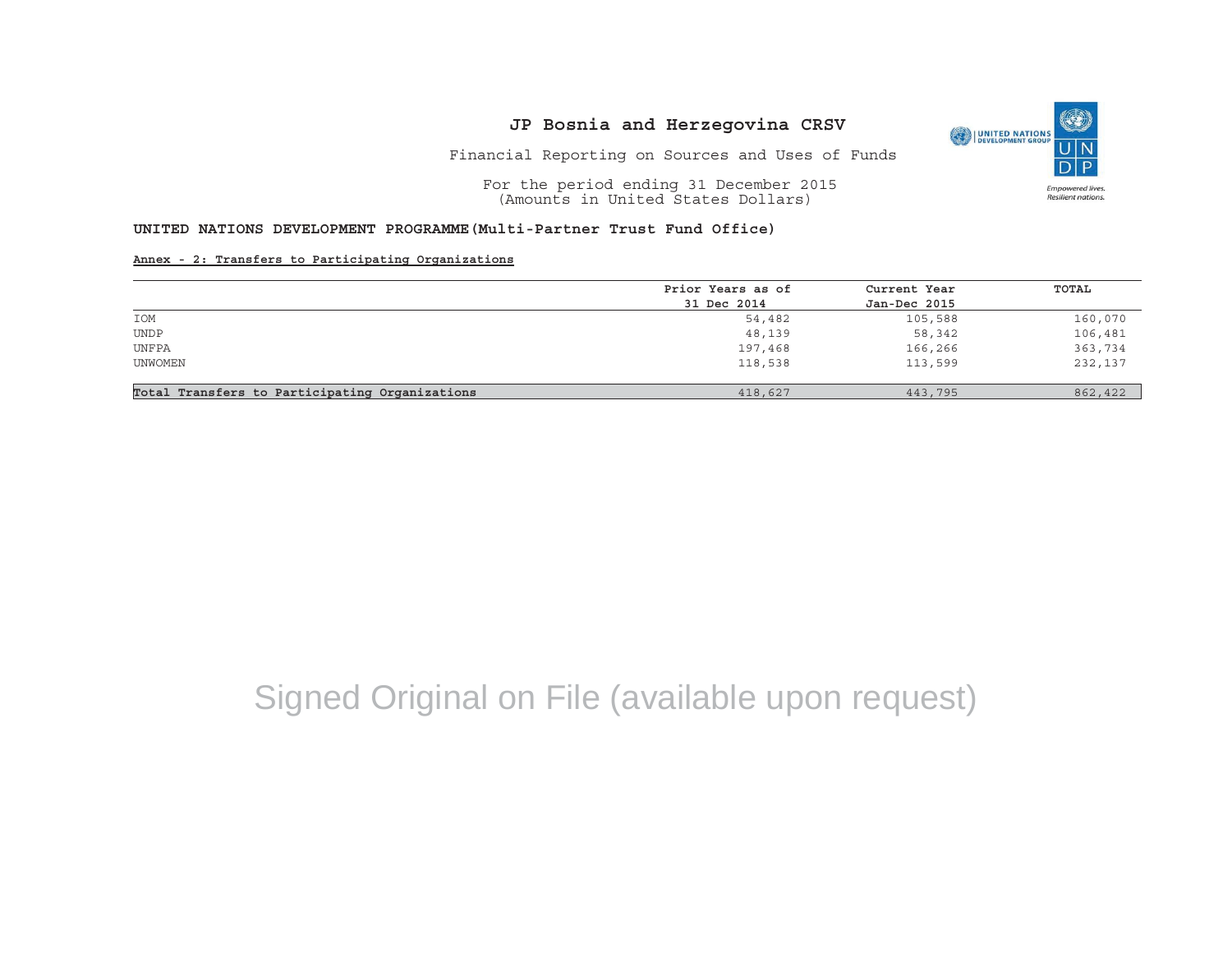

Financial Reporting on Sources and Uses of Funds

For the period ending 31 December 2015 (Amounts in United States Dollars)

### **UNITED NATIONS DEVELOPMENT PROGRAMME(Multi-Partner Trust Fund Office)**

#### **Annex - 2: Transfers to Participating Organizations**

|                                                | Prior Years as of | Current Year | TOTAL   |
|------------------------------------------------|-------------------|--------------|---------|
|                                                | 31 Dec 2014       | Jan-Dec 2015 |         |
| IOM                                            | 54,482            | 105,588      | 160,070 |
| <b>UNDP</b>                                    | 48,139            | 58,342       | 106,481 |
| UNFPA                                          | 197,468           | 166,266      | 363,734 |
| UNWOMEN                                        | 118,538           | 113,599      | 232,137 |
|                                                |                   |              |         |
| Total Transfers to Participating Organizations | 418,627           | 443,795      | 862,422 |

# Signed Original on File (available upon request)